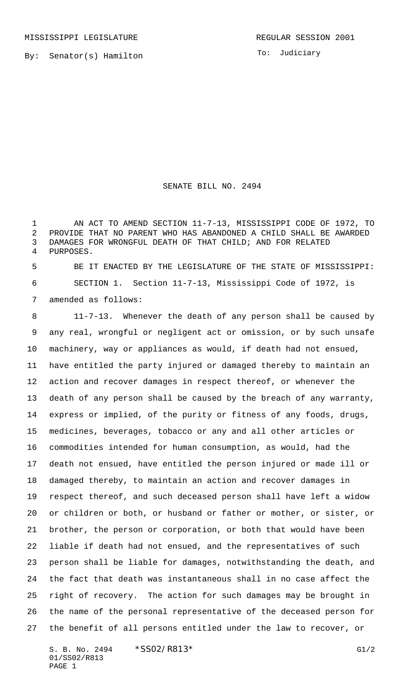By: Senator(s) Hamilton

To: Judiciary

SENATE BILL NO. 2494

 AN ACT TO AMEND SECTION 11-7-13, MISSISSIPPI CODE OF 1972, TO PROVIDE THAT NO PARENT WHO HAS ABANDONED A CHILD SHALL BE AWARDED DAMAGES FOR WRONGFUL DEATH OF THAT CHILD; AND FOR RELATED PURPOSES.

 BE IT ENACTED BY THE LEGISLATURE OF THE STATE OF MISSISSIPPI: SECTION 1. Section 11-7-13, Mississippi Code of 1972, is amended as follows:

 11-7-13. Whenever the death of any person shall be caused by any real, wrongful or negligent act or omission, or by such unsafe machinery, way or appliances as would, if death had not ensued, have entitled the party injured or damaged thereby to maintain an action and recover damages in respect thereof, or whenever the death of any person shall be caused by the breach of any warranty, express or implied, of the purity or fitness of any foods, drugs, medicines, beverages, tobacco or any and all other articles or commodities intended for human consumption, as would, had the death not ensued, have entitled the person injured or made ill or damaged thereby, to maintain an action and recover damages in respect thereof, and such deceased person shall have left a widow or children or both, or husband or father or mother, or sister, or brother, the person or corporation, or both that would have been liable if death had not ensued, and the representatives of such person shall be liable for damages, notwithstanding the death, and the fact that death was instantaneous shall in no case affect the right of recovery. The action for such damages may be brought in the name of the personal representative of the deceased person for the benefit of all persons entitled under the law to recover, or

S. B. No. 2494  $*SSO2/R813*$  G1/2 01/SS02/R813 PAGE 1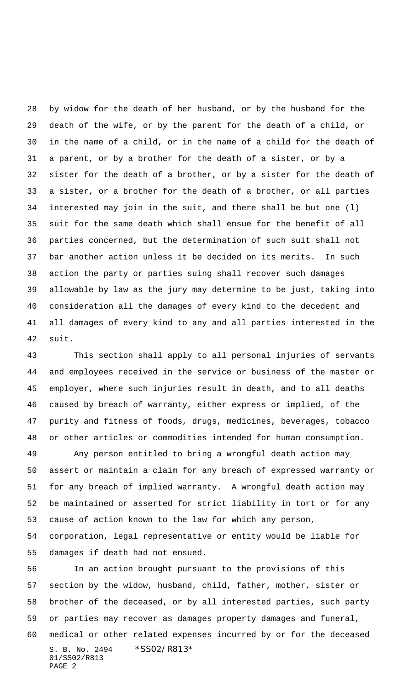by widow for the death of her husband, or by the husband for the death of the wife, or by the parent for the death of a child, or in the name of a child, or in the name of a child for the death of a parent, or by a brother for the death of a sister, or by a sister for the death of a brother, or by a sister for the death of a sister, or a brother for the death of a brother, or all parties interested may join in the suit, and there shall be but one (l) suit for the same death which shall ensue for the benefit of all parties concerned, but the determination of such suit shall not bar another action unless it be decided on its merits. In such action the party or parties suing shall recover such damages allowable by law as the jury may determine to be just, taking into consideration all the damages of every kind to the decedent and all damages of every kind to any and all parties interested in the suit.

 This section shall apply to all personal injuries of servants and employees received in the service or business of the master or employer, where such injuries result in death, and to all deaths caused by breach of warranty, either express or implied, of the purity and fitness of foods, drugs, medicines, beverages, tobacco or other articles or commodities intended for human consumption.

 Any person entitled to bring a wrongful death action may assert or maintain a claim for any breach of expressed warranty or for any breach of implied warranty. A wrongful death action may be maintained or asserted for strict liability in tort or for any cause of action known to the law for which any person, corporation, legal representative or entity would be liable for damages if death had not ensued.

S. B. No. 2494 \* SS02/R813\* 01/SS02/R813 PAGE 2 In an action brought pursuant to the provisions of this section by the widow, husband, child, father, mother, sister or brother of the deceased, or by all interested parties, such party or parties may recover as damages property damages and funeral, medical or other related expenses incurred by or for the deceased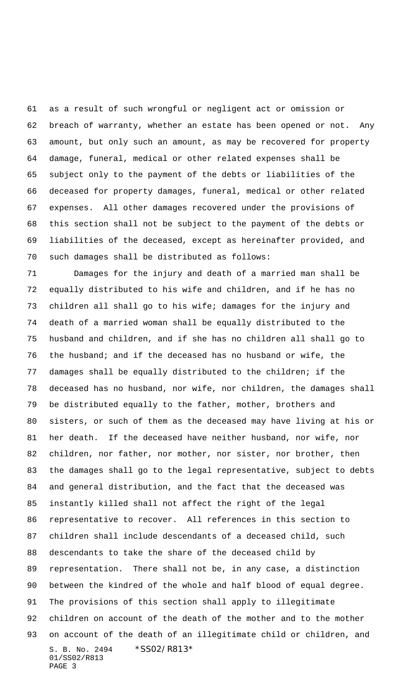as a result of such wrongful or negligent act or omission or breach of warranty, whether an estate has been opened or not. Any amount, but only such an amount, as may be recovered for property damage, funeral, medical or other related expenses shall be subject only to the payment of the debts or liabilities of the deceased for property damages, funeral, medical or other related expenses. All other damages recovered under the provisions of this section shall not be subject to the payment of the debts or liabilities of the deceased, except as hereinafter provided, and such damages shall be distributed as follows:

S. B. No. 2494 \*SS02/R813\* 01/SS02/R813 PAGE 3 Damages for the injury and death of a married man shall be equally distributed to his wife and children, and if he has no children all shall go to his wife; damages for the injury and death of a married woman shall be equally distributed to the husband and children, and if she has no children all shall go to the husband; and if the deceased has no husband or wife, the damages shall be equally distributed to the children; if the deceased has no husband, nor wife, nor children, the damages shall be distributed equally to the father, mother, brothers and sisters, or such of them as the deceased may have living at his or her death. If the deceased have neither husband, nor wife, nor children, nor father, nor mother, nor sister, nor brother, then the damages shall go to the legal representative, subject to debts and general distribution, and the fact that the deceased was instantly killed shall not affect the right of the legal representative to recover. All references in this section to children shall include descendants of a deceased child, such descendants to take the share of the deceased child by representation. There shall not be, in any case, a distinction between the kindred of the whole and half blood of equal degree. The provisions of this section shall apply to illegitimate children on account of the death of the mother and to the mother on account of the death of an illegitimate child or children, and